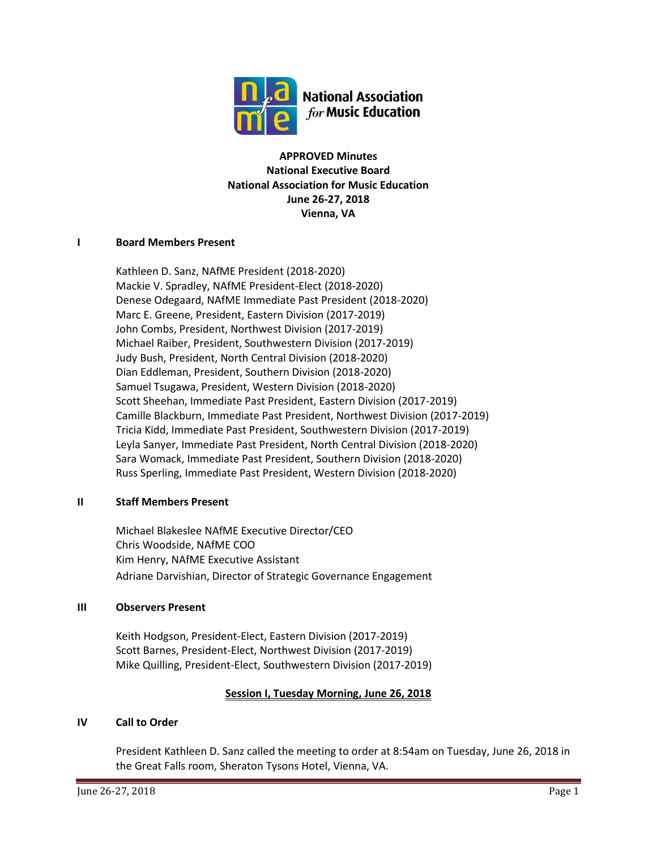

**APPROVED Minutes National Executive Board National Association for Music Education June 26-27, 2018 Vienna, VA**

### **I Board Members Present**

Kathleen D. Sanz, NAfME President (2018-2020) Mackie V. Spradley, NAfME President-Elect (2018-2020) Denese Odegaard, NAfME Immediate Past President (2018-2020) Marc E. Greene, President, Eastern Division (2017-2019) John Combs, President, Northwest Division (2017-2019) Michael Raiber, President, Southwestern Division (2017-2019) Judy Bush, President, North Central Division (2018-2020) Dian Eddleman, President, Southern Division (2018-2020) Samuel Tsugawa, President, Western Division (2018-2020) Scott Sheehan, Immediate Past President, Eastern Division (2017-2019) Camille Blackburn, Immediate Past President, Northwest Division (2017-2019) Tricia Kidd, Immediate Past President, Southwestern Division (2017-2019) Leyla Sanyer, Immediate Past President, North Central Division (2018-2020) Sara Womack, Immediate Past President, Southern Division (2018-2020) Russ Sperling, Immediate Past President, Western Division (2018-2020)

## **II Staff Members Present**

Michael Blakeslee NAfME Executive Director/CEO Chris Woodside, NAfME COO Kim Henry, NAfME Executive Assistant Adriane Darvishian, Director of Strategic Governance Engagement

### **III Observers Present**

Keith Hodgson, President-Elect, Eastern Division (2017-2019) Scott Barnes, President-Elect, Northwest Division (2017-2019) Mike Quilling, President-Elect, Southwestern Division (2017-2019)

## **Session I, Tuesday Morning, June 26, 2018**

### **IV Call to Order**

President Kathleen D. Sanz called the meeting to order at 8:54am on Tuesday, June 26, 2018 in the Great Falls room, Sheraton Tysons Hotel, Vienna, VA.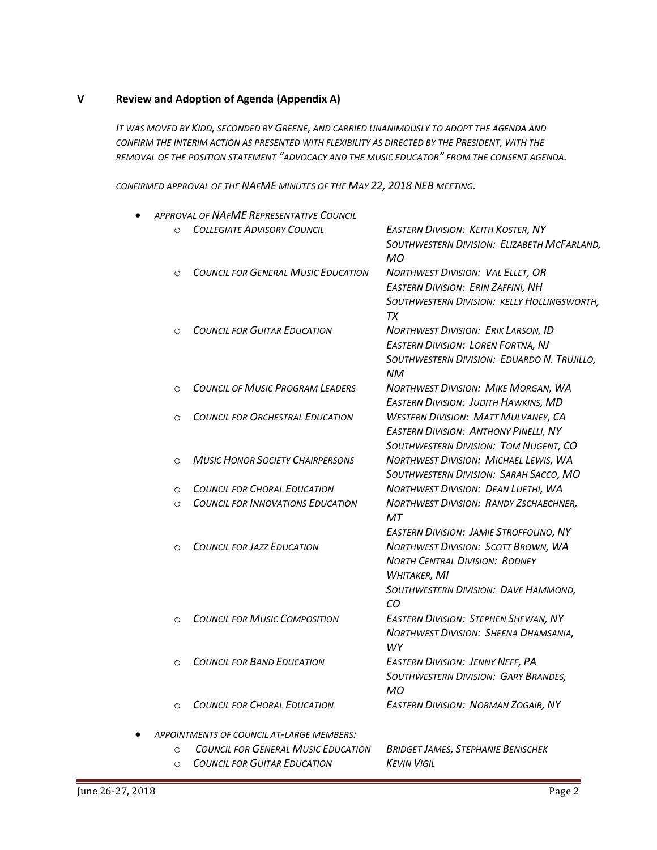### **V Review and Adoption of Agenda (Appendix A)**

*IT WAS MOVED BY KIDD, SECONDED BY GREENE, AND CARRIED UNANIMOUSLY TO ADOPT THE AGENDA AND CONFIRM THE INTERIM ACTION AS PRESENTED WITH FLEXIBILITY AS DIRECTED BY THE PRESIDENT, WITH THE REMOVAL OF THE POSITION STATEMENT "ADVOCACY AND THE MUSIC EDUCATOR" FROM THE CONSENT AGENDA.*

*CONFIRMED APPROVAL OF THE NAFME MINUTES OF THE MAY 22, 2018 NEB MEETING.*

|          | <b>APPROVAL OF NAFME REPRESENTATIVE COUNCIL</b> |                                                                                                                                                                                                     |
|----------|-------------------------------------------------|-----------------------------------------------------------------------------------------------------------------------------------------------------------------------------------------------------|
| $\circ$  | <b>COLLEGIATE ADVISORY COUNCIL</b>              | <b>EASTERN DIVISION: KEITH KOSTER, NY</b><br>SOUTHWESTERN DIVISION: ELIZABETH MCFARLAND,<br>МO                                                                                                      |
| $\circ$  | <b>COUNCIL FOR GENERAL MUSIC EDUCATION</b>      | NORTHWEST DIVISION: VAL ELLET, OR<br><b>EASTERN DIVISION: ERIN ZAFFINI, NH</b><br>SOUTHWESTERN DIVISION: KELLY HOLLINGSWORTH,<br>TX                                                                 |
| $\circ$  | <b>COUNCIL FOR GUITAR EDUCATION</b>             | <b>NORTHWEST DIVISION: ERIK LARSON, ID</b><br><b>EASTERN DIVISION: LOREN FORTNA, NJ</b><br>SOUTHWESTERN DIVISION: EDUARDO N. TRUJILLO,<br>NM                                                        |
| $\circ$  | <b>COUNCIL OF MUSIC PROGRAM LEADERS</b>         | <b>NORTHWEST DIVISION: MIKE MORGAN, WA</b><br><b>EASTERN DIVISION: JUDITH HAWKINS, MD</b>                                                                                                           |
| $\circ$  | <b>COUNCIL FOR ORCHESTRAL EDUCATION</b>         | <b>WESTERN DIVISION: MATT MULVANEY, CA</b><br><b>EASTERN DIVISION: ANTHONY PINELLI, NY</b><br>SOUTHWESTERN DIVISION: TOM NUGENT, CO                                                                 |
| $\circ$  | <b>MUSIC HONOR SOCIETY CHAIRPERSONS</b>         | NORTHWEST DIVISION: MICHAEL LEWIS, WA<br>SOUTHWESTERN DIVISION: SARAH SACCO, MO                                                                                                                     |
| $\circ$  | <b>COUNCIL FOR CHORAL EDUCATION</b>             | <b>NORTHWEST DIVISION: DEAN LUETHI, WA</b>                                                                                                                                                          |
| $\circ$  | <b>COUNCIL FOR INNOVATIONS EDUCATION</b>        | <b>NORTHWEST DIVISION: RANDY ZSCHAECHNER,</b><br>MT                                                                                                                                                 |
| $\circ$  | <b>COUNCIL FOR JAZZ EDUCATION</b>               | <b>EASTERN DIVISION: JAMIE STROFFOLINO, NY</b><br><b>NORTHWEST DIVISION: SCOTT BROWN, WA</b><br><b>NORTH CENTRAL DIVISION: RODNEY</b><br>WHITAKER, MI<br>SOUTHWESTERN DIVISION: DAVE HAMMOND,<br>CO |
| $\circ$  | <b>COUNCIL FOR MUSIC COMPOSITION</b>            | <b>EASTERN DIVISION: STEPHEN SHEWAN, NY</b><br>NORTHWEST DIVISION: SHEENA DHAMSANIA,<br><b>WY</b>                                                                                                   |
| $\circ$  | <b>COUNCIL FOR BAND EDUCATION</b>               | <b>EASTERN DIVISION: JENNY NEFF, PA</b><br>SOUTHWESTERN DIVISION: GARY BRANDES,<br>MO                                                                                                               |
| $\Omega$ | <b>COUNCIL FOR CHORAL EDUCATION</b>             | <b>EASTERN DIVISION: NORMAN ZOGAIB, NY</b>                                                                                                                                                          |
|          | APPOINTMENTS OF COUNCIL AT-LARGE MEMBERS:       |                                                                                                                                                                                                     |
| $\Omega$ | <b>COUNCIL FOR GENERAL MUSIC EDUCATION</b>      | <b>BRIDGET JAMES, STEPHANIE BENISCHEK</b>                                                                                                                                                           |
| $\circ$  | <b>COUNCIL FOR GUITAR EDUCATION</b>             | <b>KEVIN VIGIL</b>                                                                                                                                                                                  |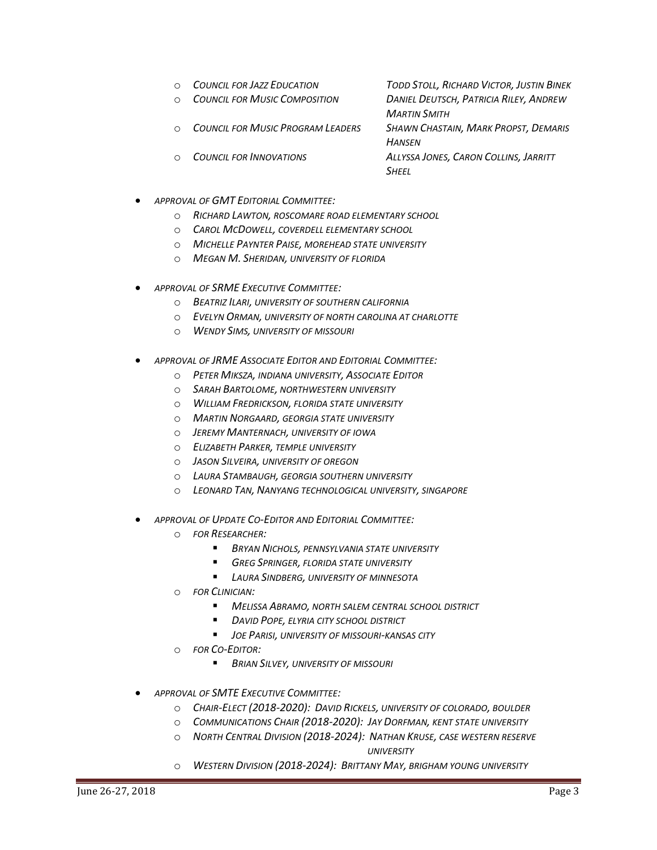- o *COUNCIL FOR JAZZ EDUCATION TODD STOLL, RICHARD VICTOR, JUSTIN BINEK*
- o *COUNCIL FOR MUSIC COMPOSITION DANIEL DEUTSCH, PATRICIA RILEY, ANDREW*
- o *COUNCIL FOR MUSIC PROGRAM LEADERS SHAWN CHASTAIN, MARK PROPST, DEMARIS*
- 
- *MARTIN SMITH HANSEN* o *COUNCIL FOR INNOVATIONS ALLYSSA JONES, CARON COLLINS, JARRITT SHEEL*
- *APPROVAL OF GMT EDITORIAL COMMITTEE:*
	- o *RICHARD LAWTON, ROSCOMARE ROAD ELEMENTARY SCHOOL*
	- o *CAROL MCDOWELL, COVERDELL ELEMENTARY SCHOOL*
	- o *MICHELLE PAYNTER PAISE, MOREHEAD STATE UNIVERSITY*
	- o *MEGAN M. SHERIDAN, UNIVERSITY OF FLORIDA*
- *APPROVAL OF SRME EXECUTIVE COMMITTEE:*
	- o *BEATRIZ ILARI, UNIVERSITY OF SOUTHERN CALIFORNIA*
	- o *EVELYN ORMAN, UNIVERSITY OF NORTH CAROLINA AT CHARLOTTE*
	- o *WENDY SIMS, UNIVERSITY OF MISSOURI*
- *APPROVAL OF JRME ASSOCIATE EDITOR AND EDITORIAL COMMITTEE:*
	- o *PETER MIKSZA, INDIANA UNIVERSITY, ASSOCIATE EDITOR*
	- o *SARAH BARTOLOME, NORTHWESTERN UNIVERSITY*
	- o *WILLIAM FREDRICKSON, FLORIDA STATE UNIVERSITY*
	- o *MARTIN NORGAARD, GEORGIA STATE UNIVERSITY*
	- o *JEREMY MANTERNACH, UNIVERSITY OF IOWA*
	- o *ELIZABETH PARKER, TEMPLE UNIVERSITY*
	- o *JASON SILVEIRA, UNIVERSITY OF OREGON*
	- o *LAURA STAMBAUGH, GEORGIA SOUTHERN UNIVERSITY*
	- o *LEONARD TAN, NANYANG TECHNOLOGICAL UNIVERSITY, SINGAPORE*
- *APPROVAL OF UPDATE CO-EDITOR AND EDITORIAL COMMITTEE:*
	- o *FOR RESEARCHER:*
		- *BRYAN NICHOLS, PENNSYLVANIA STATE UNIVERSITY*
		- *GREG SPRINGER, FLORIDA STATE UNIVERSITY*
		- *LAURA SINDBERG, UNIVERSITY OF MINNESOTA*
	- o *FOR CLINICIAN:*
		- *MELISSA ABRAMO, NORTH SALEM CENTRAL SCHOOL DISTRICT*
		- *DAVID POPE, ELYRIA CITY SCHOOL DISTRICT*
		- *JOE PARISI, UNIVERSITY OF MISSOURI-KANSAS CITY*
	- o *FOR CO-EDITOR:*
		- *BRIAN SILVEY, UNIVERSITY OF MISSOURI*
- *APPROVAL OF SMTE EXECUTIVE COMMITTEE:*
	- o *CHAIR-ELECT (2018-2020): DAVID RICKELS, UNIVERSITY OF COLORADO, BOULDER*
	- o *COMMUNICATIONS CHAIR (2018-2020): JAY DORFMAN, KENT STATE UNIVERSITY*
	- o *NORTH CENTRAL DIVISION (2018-2024): NATHAN KRUSE, CASE WESTERN RESERVE*

 *UNIVERSITY*

o *WESTERN DIVISION (2018-2024): BRITTANY MAY, BRIGHAM YOUNG UNIVERSITY*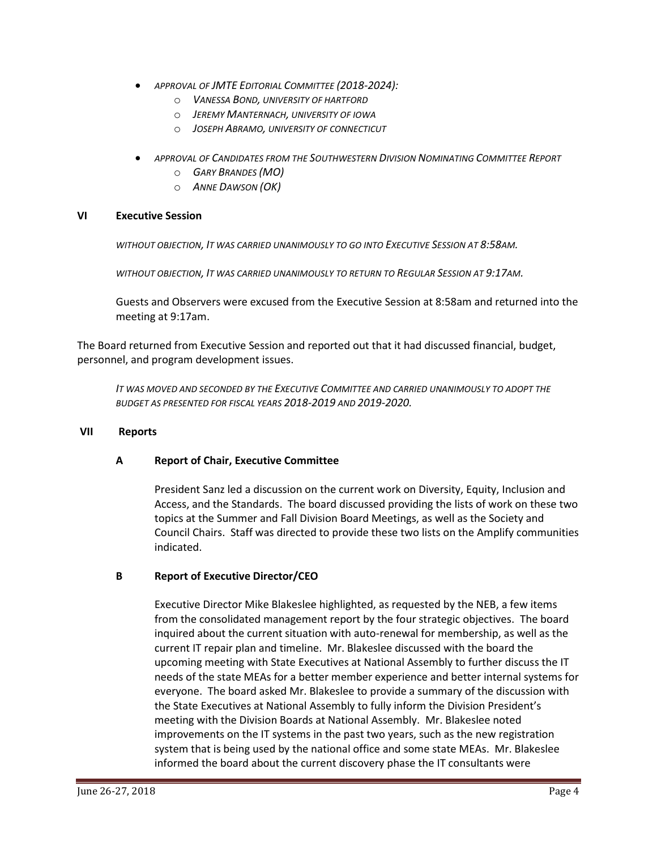- *APPROVAL OF JMTE EDITORIAL COMMITTEE (2018-2024):*
	- o *VANESSA BOND, UNIVERSITY OF HARTFORD*
	- o *JEREMY MANTERNACH, UNIVERSITY OF IOWA*
	- o *JOSEPH ABRAMO, UNIVERSITY OF CONNECTICUT*
- *APPROVAL OF CANDIDATES FROM THE SOUTHWESTERN DIVISION NOMINATING COMMITTEE REPORT* 
	- o *GARY BRANDES (MO)*
	- o *ANNE DAWSON (OK)*

### **VI Executive Session**

*WITHOUT OBJECTION, IT WAS CARRIED UNANIMOUSLY TO GO INTO EXECUTIVE SESSION AT 8:58AM.*

*WITHOUT OBJECTION, IT WAS CARRIED UNANIMOUSLY TO RETURN TO REGULAR SESSION AT 9:17AM.*

Guests and Observers were excused from the Executive Session at 8:58am and returned into the meeting at 9:17am.

The Board returned from Executive Session and reported out that it had discussed financial, budget, personnel, and program development issues.

*IT WAS MOVED AND SECONDED BY THE EXECUTIVE COMMITTEE AND CARRIED UNANIMOUSLY TO ADOPT THE BUDGET AS PRESENTED FOR FISCAL YEARS 2018-2019 AND 2019-2020.*

#### **VII Reports**

### **A Report of Chair, Executive Committee**

President Sanz led a discussion on the current work on Diversity, Equity, Inclusion and Access, and the Standards. The board discussed providing the lists of work on these two topics at the Summer and Fall Division Board Meetings, as well as the Society and Council Chairs. Staff was directed to provide these two lists on the Amplify communities indicated.

### **B Report of Executive Director/CEO**

Executive Director Mike Blakeslee highlighted, as requested by the NEB, a few items from the consolidated management report by the four strategic objectives. The board inquired about the current situation with auto-renewal for membership, as well as the current IT repair plan and timeline. Mr. Blakeslee discussed with the board the upcoming meeting with State Executives at National Assembly to further discuss the IT needs of the state MEAs for a better member experience and better internal systems for everyone. The board asked Mr. Blakeslee to provide a summary of the discussion with the State Executives at National Assembly to fully inform the Division President's meeting with the Division Boards at National Assembly. Mr. Blakeslee noted improvements on the IT systems in the past two years, such as the new registration system that is being used by the national office and some state MEAs. Mr. Blakeslee informed the board about the current discovery phase the IT consultants were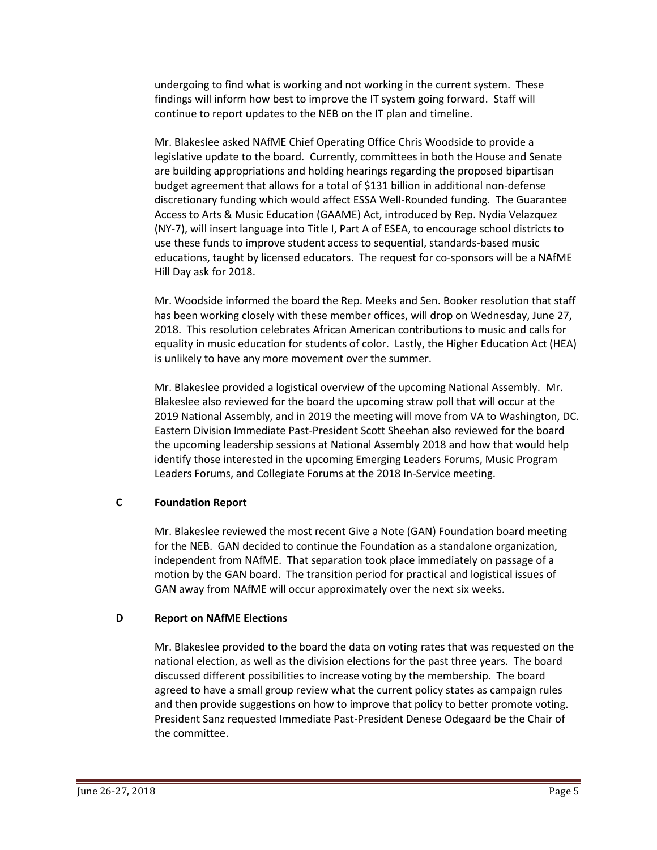undergoing to find what is working and not working in the current system. These findings will inform how best to improve the IT system going forward. Staff will continue to report updates to the NEB on the IT plan and timeline.

Mr. Blakeslee asked NAfME Chief Operating Office Chris Woodside to provide a legislative update to the board. Currently, committees in both the House and Senate are building appropriations and holding hearings regarding the proposed bipartisan budget agreement that allows for a total of \$131 billion in additional non-defense discretionary funding which would affect ESSA Well-Rounded funding. The Guarantee Access to Arts & Music Education (GAAME) Act, introduced by Rep. Nydia Velazquez (NY-7), will insert language into Title I, Part A of ESEA, to encourage school districts to use these funds to improve student access to sequential, standards-based music educations, taught by licensed educators. The request for co-sponsors will be a NAfME Hill Day ask for 2018.

Mr. Woodside informed the board the Rep. Meeks and Sen. Booker resolution that staff has been working closely with these member offices, will drop on Wednesday, June 27, 2018. This resolution celebrates African American contributions to music and calls for equality in music education for students of color. Lastly, the Higher Education Act (HEA) is unlikely to have any more movement over the summer.

Mr. Blakeslee provided a logistical overview of the upcoming National Assembly. Mr. Blakeslee also reviewed for the board the upcoming straw poll that will occur at the 2019 National Assembly, and in 2019 the meeting will move from VA to Washington, DC. Eastern Division Immediate Past-President Scott Sheehan also reviewed for the board the upcoming leadership sessions at National Assembly 2018 and how that would help identify those interested in the upcoming Emerging Leaders Forums, Music Program Leaders Forums, and Collegiate Forums at the 2018 In-Service meeting.

## **C Foundation Report**

Mr. Blakeslee reviewed the most recent Give a Note (GAN) Foundation board meeting for the NEB. GAN decided to continue the Foundation as a standalone organization, independent from NAfME. That separation took place immediately on passage of a motion by the GAN board. The transition period for practical and logistical issues of GAN away from NAfME will occur approximately over the next six weeks.

### **D Report on NAfME Elections**

Mr. Blakeslee provided to the board the data on voting rates that was requested on the national election, as well as the division elections for the past three years. The board discussed different possibilities to increase voting by the membership. The board agreed to have a small group review what the current policy states as campaign rules and then provide suggestions on how to improve that policy to better promote voting. President Sanz requested Immediate Past-President Denese Odegaard be the Chair of the committee.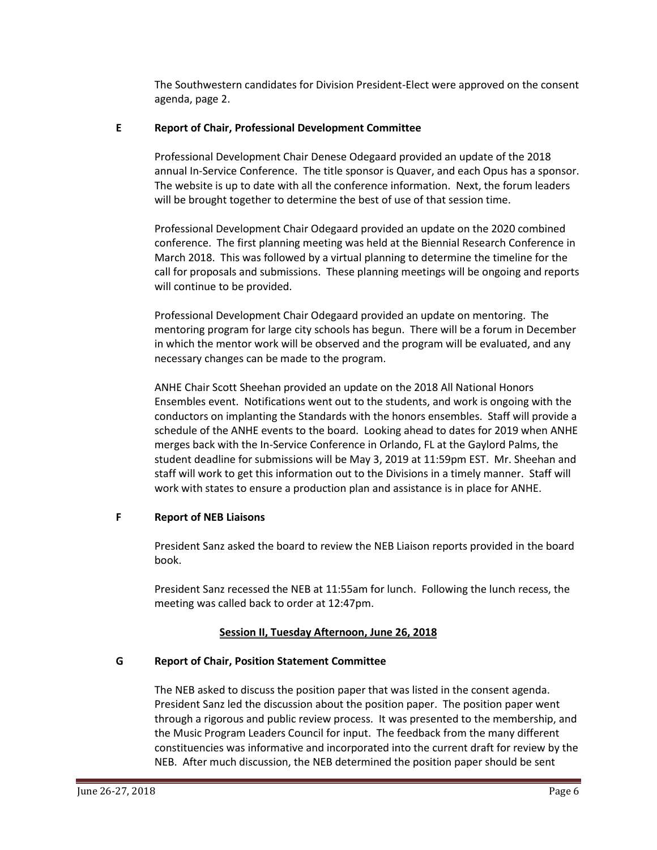The Southwestern candidates for Division President-Elect were approved on the consent agenda, page 2.

### **E Report of Chair, Professional Development Committee**

Professional Development Chair Denese Odegaard provided an update of the 2018 annual In-Service Conference. The title sponsor is Quaver, and each Opus has a sponsor. The website is up to date with all the conference information. Next, the forum leaders will be brought together to determine the best of use of that session time.

Professional Development Chair Odegaard provided an update on the 2020 combined conference. The first planning meeting was held at the Biennial Research Conference in March 2018. This was followed by a virtual planning to determine the timeline for the call for proposals and submissions. These planning meetings will be ongoing and reports will continue to be provided.

Professional Development Chair Odegaard provided an update on mentoring. The mentoring program for large city schools has begun. There will be a forum in December in which the mentor work will be observed and the program will be evaluated, and any necessary changes can be made to the program.

ANHE Chair Scott Sheehan provided an update on the 2018 All National Honors Ensembles event. Notifications went out to the students, and work is ongoing with the conductors on implanting the Standards with the honors ensembles. Staff will provide a schedule of the ANHE events to the board. Looking ahead to dates for 2019 when ANHE merges back with the In-Service Conference in Orlando, FL at the Gaylord Palms, the student deadline for submissions will be May 3, 2019 at 11:59pm EST. Mr. Sheehan and staff will work to get this information out to the Divisions in a timely manner. Staff will work with states to ensure a production plan and assistance is in place for ANHE.

## **F Report of NEB Liaisons**

President Sanz asked the board to review the NEB Liaison reports provided in the board book.

President Sanz recessed the NEB at 11:55am for lunch. Following the lunch recess, the meeting was called back to order at 12:47pm.

# **Session II, Tuesday Afternoon, June 26, 2018**

## **G Report of Chair, Position Statement Committee**

The NEB asked to discuss the position paper that was listed in the consent agenda. President Sanz led the discussion about the position paper. The position paper went through a rigorous and public review process. It was presented to the membership, and the Music Program Leaders Council for input. The feedback from the many different constituencies was informative and incorporated into the current draft for review by the NEB. After much discussion, the NEB determined the position paper should be sent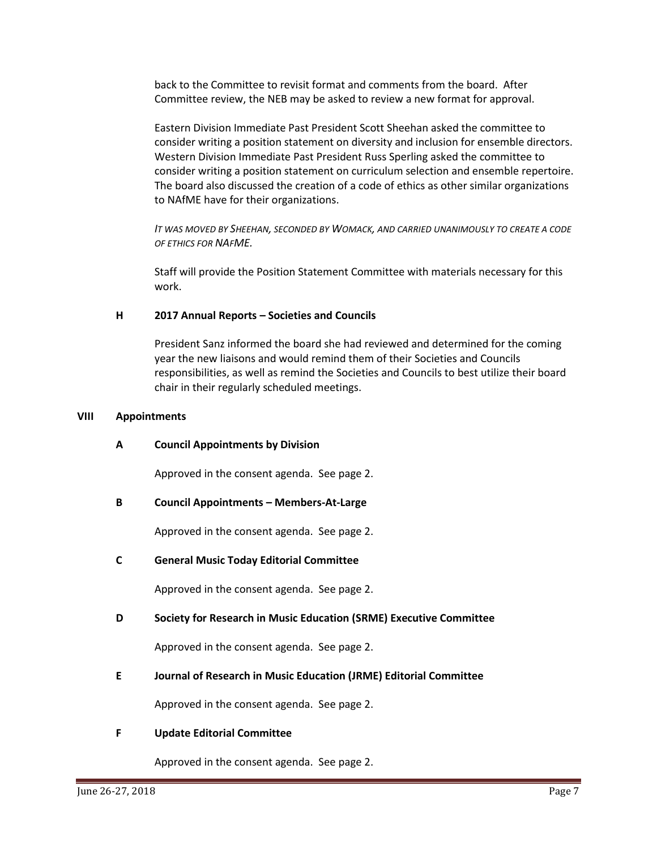back to the Committee to revisit format and comments from the board. After Committee review, the NEB may be asked to review a new format for approval.

Eastern Division Immediate Past President Scott Sheehan asked the committee to consider writing a position statement on diversity and inclusion for ensemble directors. Western Division Immediate Past President Russ Sperling asked the committee to consider writing a position statement on curriculum selection and ensemble repertoire. The board also discussed the creation of a code of ethics as other similar organizations to NAfME have for their organizations.

*IT WAS MOVED BY SHEEHAN, SECONDED BY WOMACK, AND CARRIED UNANIMOUSLY TO CREATE A CODE OF ETHICS FOR NAFME.*

Staff will provide the Position Statement Committee with materials necessary for this work.

### **H 2017 Annual Reports – Societies and Councils**

President Sanz informed the board she had reviewed and determined for the coming year the new liaisons and would remind them of their Societies and Councils responsibilities, as well as remind the Societies and Councils to best utilize their board chair in their regularly scheduled meetings.

#### **VIII Appointments**

### **A Council Appointments by Division**

Approved in the consent agenda. See page 2.

### **B Council Appointments – Members-At-Large**

Approved in the consent agenda. See page 2.

### **C General Music Today Editorial Committee**

Approved in the consent agenda. See page 2.

### **D Society for Research in Music Education (SRME) Executive Committee**

Approved in the consent agenda. See page 2.

### **E Journal of Research in Music Education (JRME) Editorial Committee**

Approved in the consent agenda. See page 2.

### **F Update Editorial Committee**

Approved in the consent agenda. See page 2.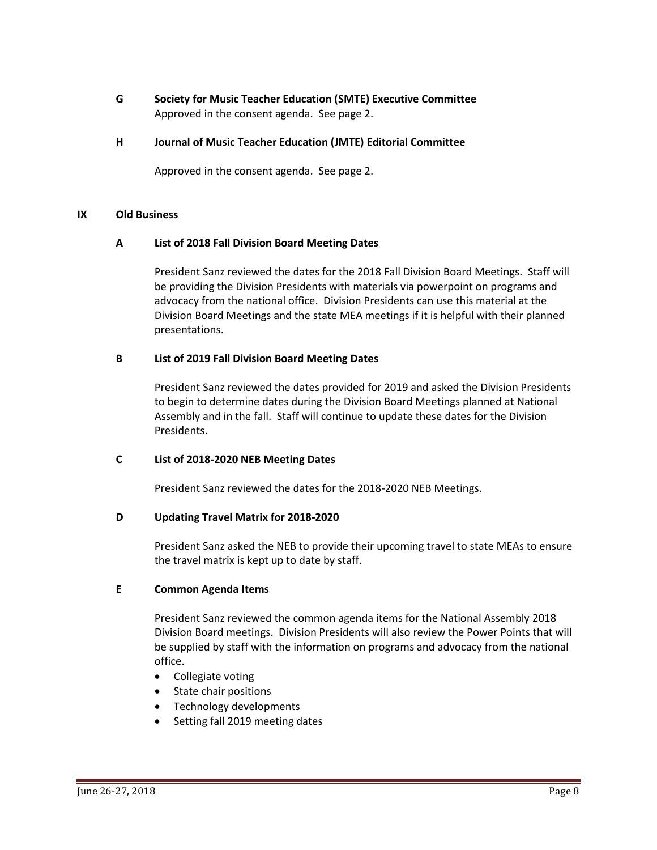**G Society for Music Teacher Education (SMTE) Executive Committee** Approved in the consent agenda. See page 2.

### **H Journal of Music Teacher Education (JMTE) Editorial Committee**

Approved in the consent agenda. See page 2.

#### **IX Old Business**

#### **A List of 2018 Fall Division Board Meeting Dates**

President Sanz reviewed the dates for the 2018 Fall Division Board Meetings. Staff will be providing the Division Presidents with materials via powerpoint on programs and advocacy from the national office. Division Presidents can use this material at the Division Board Meetings and the state MEA meetings if it is helpful with their planned presentations.

#### **B List of 2019 Fall Division Board Meeting Dates**

President Sanz reviewed the dates provided for 2019 and asked the Division Presidents to begin to determine dates during the Division Board Meetings planned at National Assembly and in the fall. Staff will continue to update these dates for the Division Presidents.

### **C List of 2018-2020 NEB Meeting Dates**

President Sanz reviewed the dates for the 2018-2020 NEB Meetings.

### **D Updating Travel Matrix for 2018-2020**

President Sanz asked the NEB to provide their upcoming travel to state MEAs to ensure the travel matrix is kept up to date by staff.

### **E Common Agenda Items**

President Sanz reviewed the common agenda items for the National Assembly 2018 Division Board meetings. Division Presidents will also review the Power Points that will be supplied by staff with the information on programs and advocacy from the national office.

- Collegiate voting
- State chair positions
- Technology developments
- Setting fall 2019 meeting dates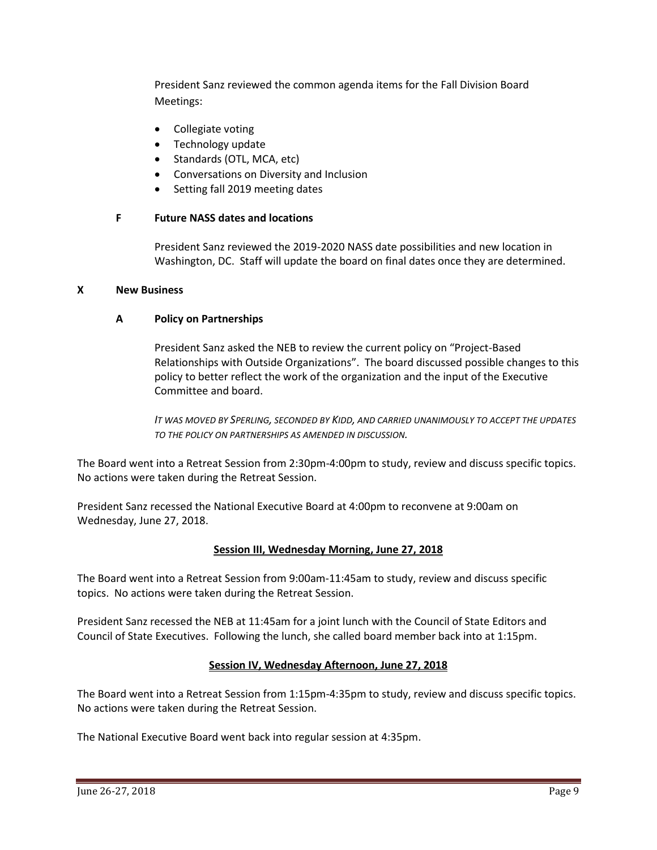President Sanz reviewed the common agenda items for the Fall Division Board Meetings:

- Collegiate voting
- Technology update
- Standards (OTL, MCA, etc)
- Conversations on Diversity and Inclusion
- Setting fall 2019 meeting dates

### **F Future NASS dates and locations**

President Sanz reviewed the 2019-2020 NASS date possibilities and new location in Washington, DC. Staff will update the board on final dates once they are determined.

### **X New Business**

## **A Policy on Partnerships**

President Sanz asked the NEB to review the current policy on "Project-Based Relationships with Outside Organizations". The board discussed possible changes to this policy to better reflect the work of the organization and the input of the Executive Committee and board.

*IT WAS MOVED BY SPERLING, SECONDED BY KIDD, AND CARRIED UNANIMOUSLY TO ACCEPT THE UPDATES TO THE POLICY ON PARTNERSHIPS AS AMENDED IN DISCUSSION.*

The Board went into a Retreat Session from 2:30pm-4:00pm to study, review and discuss specific topics. No actions were taken during the Retreat Session.

President Sanz recessed the National Executive Board at 4:00pm to reconvene at 9:00am on Wednesday, June 27, 2018.

### **Session III, Wednesday Morning, June 27, 2018**

The Board went into a Retreat Session from 9:00am-11:45am to study, review and discuss specific topics. No actions were taken during the Retreat Session.

President Sanz recessed the NEB at 11:45am for a joint lunch with the Council of State Editors and Council of State Executives. Following the lunch, she called board member back into at 1:15pm.

## **Session IV, Wednesday Afternoon, June 27, 2018**

The Board went into a Retreat Session from 1:15pm-4:35pm to study, review and discuss specific topics. No actions were taken during the Retreat Session.

The National Executive Board went back into regular session at 4:35pm.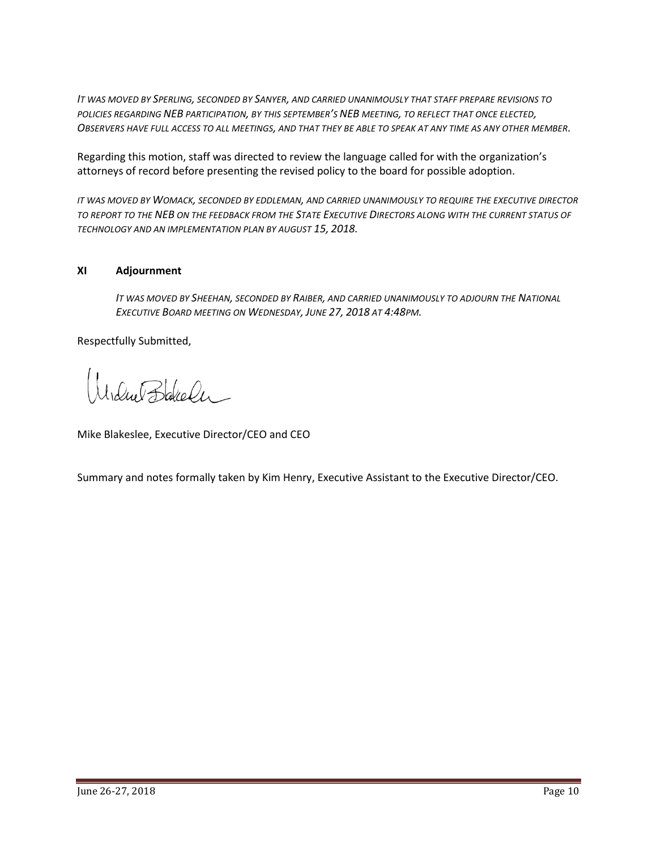*IT WAS MOVED BY SPERLING, SECONDED BY SANYER, AND CARRIED UNANIMOUSLY THAT STAFF PREPARE REVISIONS TO POLICIES REGARDING NEB PARTICIPATION, BY THIS SEPTEMBER'S NEB MEETING, TO REFLECT THAT ONCE ELECTED, OBSERVERS HAVE FULL ACCESS TO ALL MEETINGS, AND THAT THEY BE ABLE TO SPEAK AT ANY TIME AS ANY OTHER MEMBER.*

Regarding this motion, staff was directed to review the language called for with the organization's attorneys of record before presenting the revised policy to the board for possible adoption.

*IT WAS MOVED BY WOMACK, SECONDED BY EDDLEMAN, AND CARRIED UNANIMOUSLY TO REQUIRE THE EXECUTIVE DIRECTOR TO REPORT TO THE NEB ON THE FEEDBACK FROM THE STATE EXECUTIVE DIRECTORS ALONG WITH THE CURRENT STATUS OF TECHNOLOGY AND AN IMPLEMENTATION PLAN BY AUGUST 15, 2018.*

## **XI Adjournment**

*IT WAS MOVED BY SHEEHAN, SECONDED BY RAIBER, AND CARRIED UNANIMOUSLY TO ADJOURN THE NATIONAL EXECUTIVE BOARD MEETING ON WEDNESDAY, JUNE 27, 2018 AT 4:48PM.*

Respectfully Submitted,

Modue Bakeler

Mike Blakeslee, Executive Director/CEO and CEO

Summary and notes formally taken by Kim Henry, Executive Assistant to the Executive Director/CEO.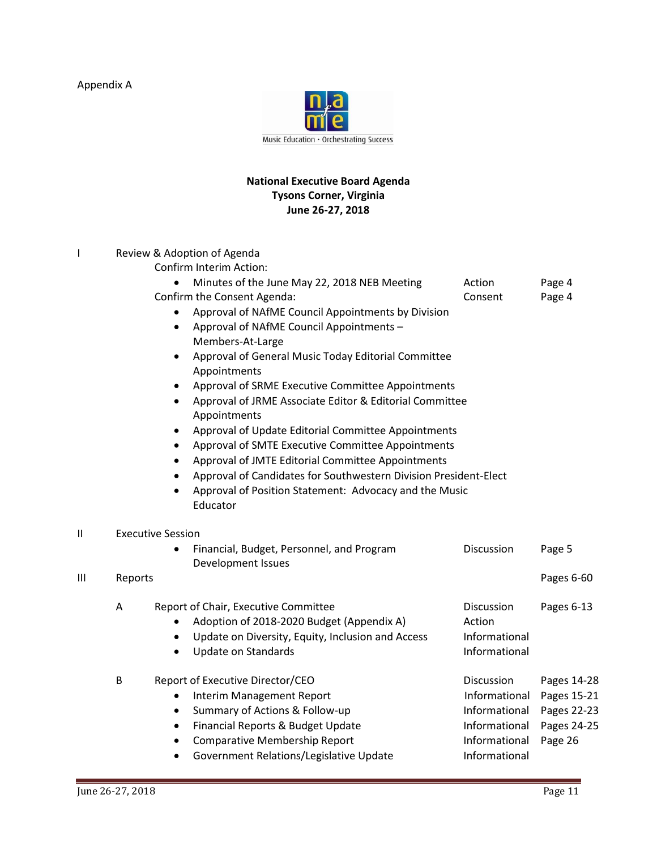Appendix A



## **National Executive Board Agenda Tysons Corner, Virginia June 26-27, 2018**

|    |         | Review & Adoption of Agenda<br>Confirm Interim Action:                                                                                                           |                                |                  |
|----|---------|------------------------------------------------------------------------------------------------------------------------------------------------------------------|--------------------------------|------------------|
|    |         | Minutes of the June May 22, 2018 NEB Meeting<br>$\bullet$<br>Confirm the Consent Agenda:                                                                         | Action<br>Consent              | Page 4<br>Page 4 |
|    |         | Approval of NAfME Council Appointments by Division<br>٠<br>Approval of NAfME Council Appointments -<br>$\bullet$                                                 |                                |                  |
|    |         | Members-At-Large<br>Approval of General Music Today Editorial Committee<br>$\bullet$<br>Appointments                                                             |                                |                  |
|    |         | Approval of SRME Executive Committee Appointments<br>$\bullet$                                                                                                   |                                |                  |
|    |         | Approval of JRME Associate Editor & Editorial Committee<br>$\bullet$<br>Appointments                                                                             |                                |                  |
|    |         | Approval of Update Editorial Committee Appointments<br>$\bullet$<br>Approval of SMTE Executive Committee Appointments<br>$\bullet$                               |                                |                  |
|    |         | Approval of JMTE Editorial Committee Appointments<br>$\bullet$                                                                                                   |                                |                  |
|    |         | Approval of Candidates for Southwestern Division President-Elect<br>$\bullet$<br>Approval of Position Statement: Advocacy and the Music<br>$\bullet$<br>Educator |                                |                  |
| II |         | <b>Executive Session</b>                                                                                                                                         |                                |                  |
|    |         | Financial, Budget, Personnel, and Program<br>Development Issues                                                                                                  | Discussion                     | Page 5           |
| Ш  | Reports |                                                                                                                                                                  |                                | Pages 6-60       |
|    | Α       | Report of Chair, Executive Committee<br>Adoption of 2018-2020 Budget (Appendix A)                                                                                | Discussion<br>Action           | Pages 6-13       |
|    |         | Update on Diversity, Equity, Inclusion and Access<br>$\bullet$<br><b>Update on Standards</b><br>$\bullet$                                                        | Informational<br>Informational |                  |
|    | B       | Report of Executive Director/CEO                                                                                                                                 | Discussion                     | Pages 14-28      |
|    |         | <b>Interim Management Report</b><br>٠                                                                                                                            | Informational                  | Pages 15-21      |
|    |         | Summary of Actions & Follow-up<br>$\bullet$                                                                                                                      | Informational                  | Pages 22-23      |
|    |         | Financial Reports & Budget Update<br>$\bullet$                                                                                                                   | Informational                  | Pages 24-25      |
|    |         | <b>Comparative Membership Report</b><br>$\bullet$                                                                                                                | Informational                  | Page 26          |
|    |         | Government Relations/Legislative Update<br>$\bullet$                                                                                                             | Informational                  |                  |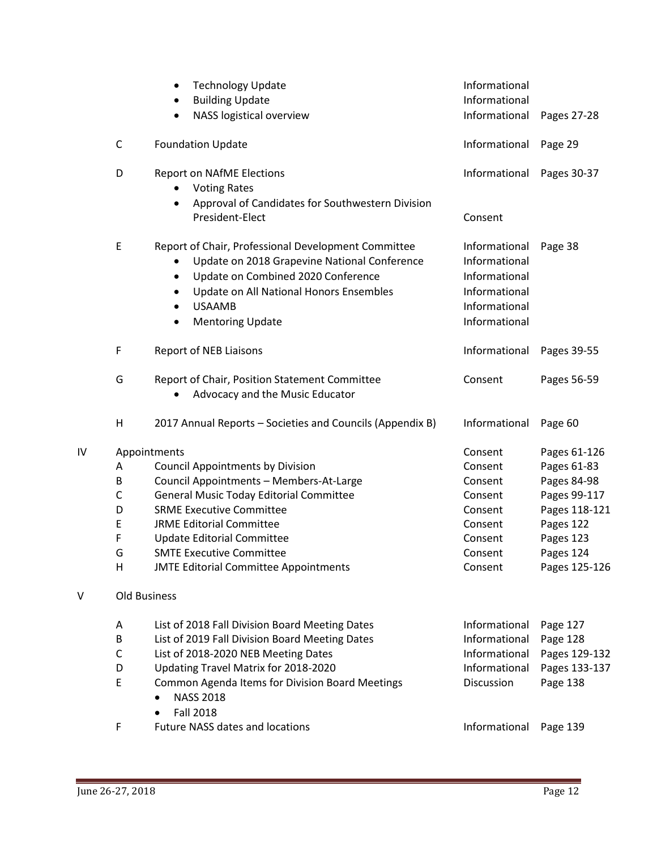|    |                                      | <b>Technology Update</b><br>$\bullet$<br><b>Building Update</b><br>NASS logistical overview                                                                                                                                                                                                                                                        | Informational<br>Informational<br>Informational                                                    | Pages 27-28                                                                                                                         |
|----|--------------------------------------|----------------------------------------------------------------------------------------------------------------------------------------------------------------------------------------------------------------------------------------------------------------------------------------------------------------------------------------------------|----------------------------------------------------------------------------------------------------|-------------------------------------------------------------------------------------------------------------------------------------|
|    | C                                    | <b>Foundation Update</b>                                                                                                                                                                                                                                                                                                                           | Informational                                                                                      | Page 29                                                                                                                             |
|    | D                                    | <b>Report on NAfME Elections</b><br><b>Voting Rates</b><br>Approval of Candidates for Southwestern Division<br>President-Elect                                                                                                                                                                                                                     | Informational<br>Consent                                                                           | Pages 30-37                                                                                                                         |
|    | E                                    | Report of Chair, Professional Development Committee<br>Update on 2018 Grapevine National Conference<br>Update on Combined 2020 Conference<br>$\bullet$<br>Update on All National Honors Ensembles<br>$\bullet$<br><b>USAAMB</b><br><b>Mentoring Update</b>                                                                                         | Informational<br>Informational<br>Informational<br>Informational<br>Informational<br>Informational | Page 38                                                                                                                             |
|    | F                                    | <b>Report of NEB Liaisons</b>                                                                                                                                                                                                                                                                                                                      | Informational                                                                                      | Pages 39-55                                                                                                                         |
|    | G                                    | Report of Chair, Position Statement Committee<br>Advocacy and the Music Educator                                                                                                                                                                                                                                                                   | Consent                                                                                            | Pages 56-59                                                                                                                         |
|    | H                                    | 2017 Annual Reports - Societies and Councils (Appendix B)                                                                                                                                                                                                                                                                                          | Informational                                                                                      | Page 60                                                                                                                             |
| IV | A<br>B<br>C<br>D<br>E<br>F<br>G<br>H | Appointments<br><b>Council Appointments by Division</b><br>Council Appointments - Members-At-Large<br><b>General Music Today Editorial Committee</b><br><b>SRME Executive Committee</b><br><b>JRME Editorial Committee</b><br><b>Update Editorial Committee</b><br><b>SMTE Executive Committee</b><br><b>JMTE Editorial Committee Appointments</b> | Consent<br>Consent<br>Consent<br>Consent<br>Consent<br>Consent<br>Consent<br>Consent<br>Consent    | Pages 61-126<br>Pages 61-83<br>Pages 84-98<br>Pages 99-117<br>Pages 118-121<br>Pages 122<br>Pages 123<br>Pages 124<br>Pages 125-126 |
| V  |                                      | Old Business                                                                                                                                                                                                                                                                                                                                       |                                                                                                    |                                                                                                                                     |
|    | A<br>B<br>C<br>D<br>E                | List of 2018 Fall Division Board Meeting Dates<br>List of 2019 Fall Division Board Meeting Dates<br>List of 2018-2020 NEB Meeting Dates<br>Updating Travel Matrix for 2018-2020<br>Common Agenda Items for Division Board Meetings<br><b>NASS 2018</b><br><b>Fall 2018</b>                                                                         | Informational<br>Informational<br>Informational<br>Informational<br>Discussion                     | Page 127<br>Page 128<br>Pages 129-132<br>Pages 133-137<br>Page 138                                                                  |
|    | F                                    | Future NASS dates and locations                                                                                                                                                                                                                                                                                                                    | Informational                                                                                      | Page 139                                                                                                                            |